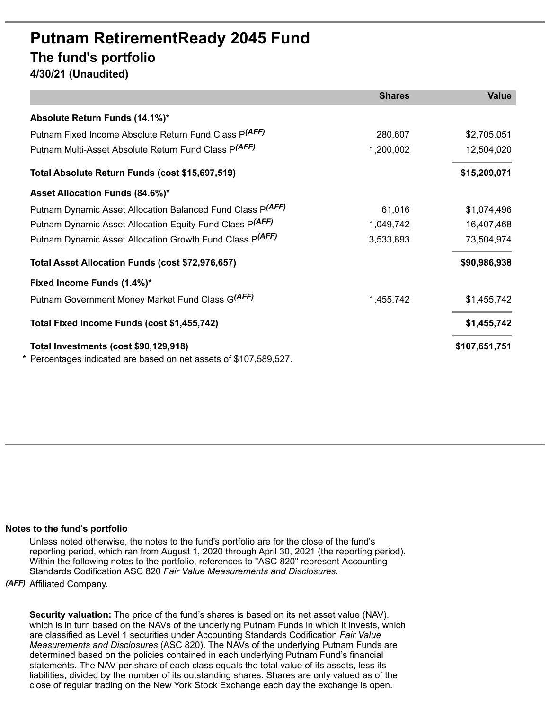## **Putnam RetirementReady 2045 Fund The fund's portfolio**

**4/30/21 (Unaudited)**

|                                                                                                          | <b>Shares</b> | <b>Value</b>  |
|----------------------------------------------------------------------------------------------------------|---------------|---------------|
| Absolute Return Funds (14.1%)*                                                                           |               |               |
| Putnam Fixed Income Absolute Return Fund Class P(AFF)                                                    | 280,607       | \$2,705,051   |
| Putnam Multi-Asset Absolute Return Fund Class P(AFF)                                                     | 1,200,002     | 12,504,020    |
| Total Absolute Return Funds (cost \$15,697,519)                                                          |               | \$15,209,071  |
| Asset Allocation Funds (84.6%)*                                                                          |               |               |
| Putnam Dynamic Asset Allocation Balanced Fund Class P(AFF)                                               | 61,016        | \$1,074,496   |
| Putnam Dynamic Asset Allocation Equity Fund Class P(AFF)                                                 | 1,049,742     | 16,407,468    |
| Putnam Dynamic Asset Allocation Growth Fund Class P(AFF)                                                 | 3,533,893     | 73,504,974    |
| Total Asset Allocation Funds (cost \$72,976,657)                                                         |               | \$90,986,938  |
| Fixed Income Funds (1.4%)*                                                                               |               |               |
| Putnam Government Money Market Fund Class G(AFF)                                                         | 1,455,742     | \$1,455,742   |
| Total Fixed Income Funds (cost \$1,455,742)                                                              |               | \$1,455,742   |
| Total Investments (cost \$90,129,918)<br>Percentages indicated are based on net assets of \$107,589,527. |               | \$107,651,751 |

## **Notes to the fund's portfolio**

Unless noted otherwise, the notes to the fund's portfolio are for the close of the fund's reporting period, which ran from August 1, 2020 through April 30, 2021 (the reporting period). Within the following notes to the portfolio, references to "ASC 820" represent Accounting Standards Codification ASC 820 *Fair Value Measurements and Disclosures*.

*(AFF)* Affiliated Company.

**Security valuation:** The price of the fund's shares is based on its net asset value (NAV), which is in turn based on the NAVs of the underlying Putnam Funds in which it invests, which are classified as Level 1 securities under Accounting Standards Codification *Fair Value Measurements and Disclosures* (ASC 820). The NAVs of the underlying Putnam Funds are determined based on the policies contained in each underlying Putnam Fund's financial statements. The NAV per share of each class equals the total value of its assets, less its liabilities, divided by the number of its outstanding shares. Shares are only valued as of the close of regular trading on the New York Stock Exchange each day the exchange is open.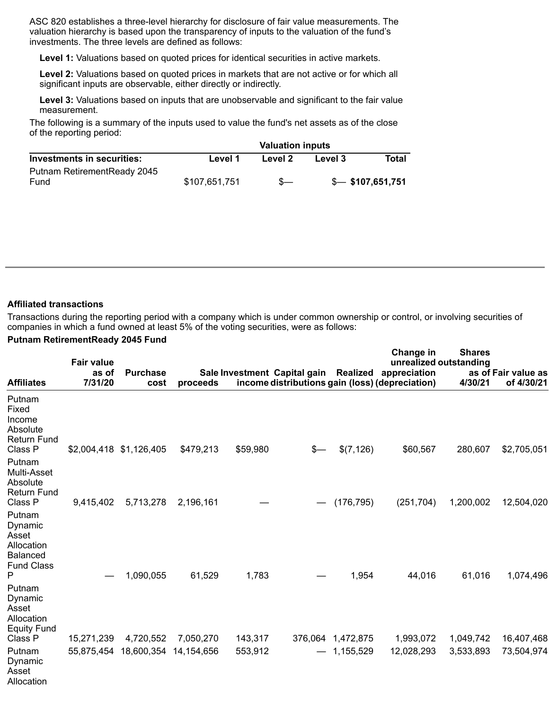ASC 820 establishes a three-level hierarchy for disclosure of fair value measurements. The valuation hierarchy is based upon the transparency of inputs to the valuation of the fund's investments. The three levels are defined as follows:

**Level 1:** Valuations based on quoted prices for identical securities in active markets.

**Level 2:** Valuations based on quoted prices in markets that are not active or for which all significant inputs are observable, either directly or indirectly.

**Level 3:** Valuations based on inputs that are unobservable and significant to the fair value measurement.

The following is a summary of the inputs used to value the fund's net assets as of the close of the reporting period:

| Investments in securities:   | <b>Valuation inputs</b> |         |         |                     |  |  |
|------------------------------|-------------------------|---------|---------|---------------------|--|--|
|                              | Level 1                 | Level 2 | Level 3 | Total               |  |  |
| Putnam Retirement Ready 2045 |                         |         |         |                     |  |  |
| Fund                         | \$107,651,751           |         |         | $$-.$ \$107,651,751 |  |  |

## **Affiliated transactions**

Transactions during the reporting period with a company which is under common ownership or control, or involving securities of companies in which a fund owned at least 5% of the voting securities, were as follows:

## **Putnam RetirementReady 2045 Fund**

| <b>Affiliates</b>                                                                | <b>Fair value</b><br>as of | <b>Purchase</b>         |                         |                    |                                                                                 | Realized                       | Change in<br>appreciation | <b>Shares</b><br>unrealized outstanding | as of Fair value as      |
|----------------------------------------------------------------------------------|----------------------------|-------------------------|-------------------------|--------------------|---------------------------------------------------------------------------------|--------------------------------|---------------------------|-----------------------------------------|--------------------------|
|                                                                                  | 7/31/20                    | cost                    | proceeds                |                    | Sale Investment Capital gain<br>income distributions gain (loss) (depreciation) |                                |                           | 4/30/21                                 | of 4/30/21               |
| Putnam<br>Fixed<br>Income<br>Absolute<br><b>Return Fund</b><br>Class P           |                            | \$2,004,418 \$1,126,405 | \$479,213               | \$59,980           | \$—                                                                             | \$(7, 126)                     | \$60,567                  | 280,607                                 | \$2,705,051              |
| Putnam<br>Multi-Asset<br>Absolute<br><b>Return Fund</b><br>Class P               | 9,415,402                  | 5,713,278               | 2,196,161               |                    |                                                                                 | (176, 795)                     | (251, 704)                | 1,200,002                               | 12,504,020               |
| Putnam<br>Dynamic<br>Asset<br>Allocation<br><b>Balanced</b><br><b>Fund Class</b> |                            |                         |                         |                    |                                                                                 |                                |                           |                                         |                          |
| Ρ<br>Putnam<br>Dynamic<br>Asset<br>Allocation<br><b>Equity Fund</b>              |                            | 1,090,055               | 61,529                  | 1,783              |                                                                                 | 1,954                          | 44,016                    | 61,016                                  | 1,074,496                |
| Class P<br>Putnam<br>Dynamic<br>Asset<br>Allocation                              | 15,271,239<br>55,875,454   | 4,720,552<br>18,600,354 | 7,050,270<br>14,154,656 | 143,317<br>553,912 |                                                                                 | 376,064 1,472,875<br>1,155,529 | 1,993,072<br>12,028,293   | 1,049,742<br>3,533,893                  | 16,407,468<br>73,504,974 |